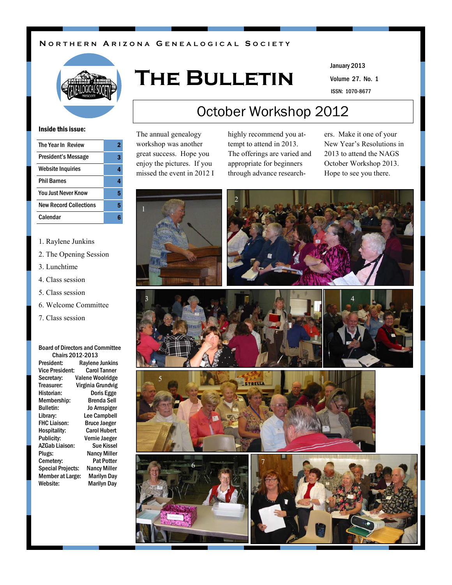#### **N O R T H E R N A R I Z O N A G E N E A L O G I C A L S O C I E T Y**



# **The Bulletin**

Volume 27. No. 1 January 2013

ISSN: 1070-8677

#### Inside this issue:

| The Year In Review            |   |
|-------------------------------|---|
| President's Message           |   |
| <b>Website Inquiries</b>      |   |
| <b>Phil Barnes</b>            |   |
| <b>You Just Never Know</b>    | 5 |
| <b>New Record Collections</b> | 5 |
| Calendar                      |   |
|                               |   |

#### 1. Raylene Junkins

- 2. The Opening Session
- 3. Lunchtime
- 4. Class session
- 5. Class session
- 6. Welcome Committee
- 7. Class session

#### Board of Directors and Committee Chairs 2012-2013

President: Raylene Junkins Vice President: Carol Tanner Secretary: Valene Woolridge Treasurer: Virginia Grundvig Historian: Doris Egge Membership: Bulletin: Jo Arnspiger Library: Lee Campbell FHC Liaison: Bruce Jaeger Hospitality: Carol Hubert Publicity: Vernie Jaeger AZGab Liaison: Sue Kissel Plugs: Nancy Miller Cemetery: Pat Potter Special Projects: Nancy Miller Member at Large: Marilyn Day Website: Marilyn Day

# October Workshop 2012

The annual genealogy workshop was another great success. Hope you enjoy the pictures. If you missed the event in 2012 I highly recommend you attempt to attend in 2013. The offerings are varied and appropriate for beginners through advance researchers. Make it one of your New Year's Resolutions in 2013 to attend the NAGS October Workshop 2013. Hope to see you there.













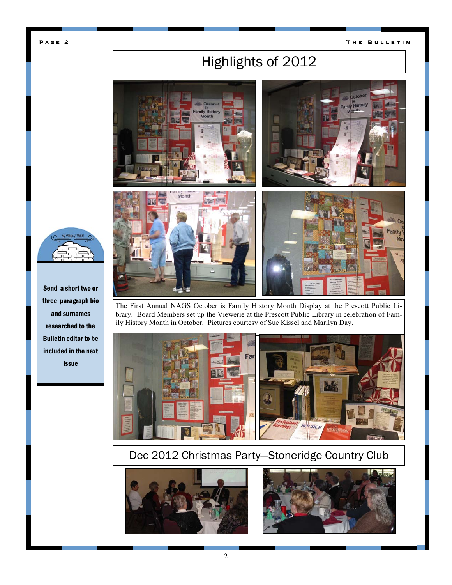#### **T h e B u l l e t i n**

# Highlights of 2012



The First Annual NAGS October is Family History Month Display at the Prescott Public Library. Board Members set up the Viewerie at the Prescott Public Library in celebration of Family History Month in October. Pictures courtesy of Sue Kissel and Marilyn Day.



### Dec 2012 Christmas Party—Stoneridge Country Club







Send a short two or three paragraph bio and surnames researched to the Bulletin editor to be included in the next issue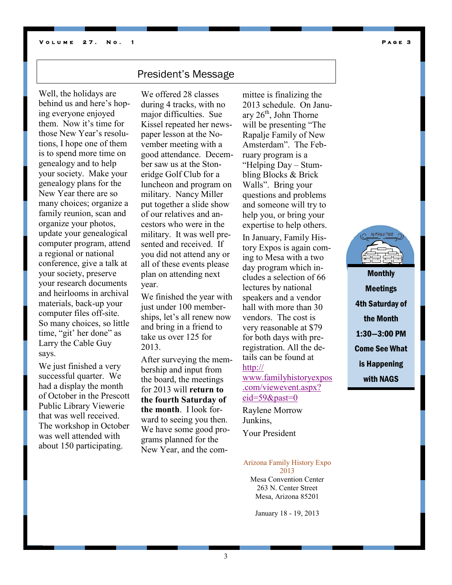### President's Message

Well, the holidays are behind us and here's hoping everyone enjoyed them. Now it's time for those New Year's resolutions, I hope one of them is to spend more time on genealogy and to help your society. Make your genealogy plans for the New Year there are so many choices; organize a family reunion, scan and organize your photos, update your genealogical computer program, attend a regional or national conference, give a talk at your society, preserve your research documents and heirlooms in archival materials, back-up your computer files off-site. So many choices, so little time, "git' her done" as Larry the Cable Guy says.

We just finished a very successful quarter. We had a display the month of October in the Prescott Public Library Viewerie that was well received. The workshop in October was well attended with about 150 participating.

We offered 28 classes during 4 tracks, with no major difficulties. Sue Kissel repeated her newspaper lesson at the November meeting with a good attendance. December saw us at the Stoneridge Golf Club for a luncheon and program on military. Nancy Miller put together a slide show of our relatives and ancestors who were in the military. It was well presented and received. If you did not attend any or all of these events please plan on attending next year.

We finished the year with just under 100 memberships, let's all renew now and bring in a friend to take us over 125 for 2013.

After surveying the membership and input from the board, the meetings for 2013 will **return to the fourth Saturday of the month**. I look forward to seeing you then. We have some good programs planned for the New Year, and the com-

mittee is finalizing the 2013 schedule. On January  $26<sup>th</sup>$ , John Thorne will be presenting "The Rapalje Family of New Amsterdam". The February program is a "Helping Day – Stumbling Blocks & Brick Walls". Bring your questions and problems and someone will try to help you, or bring your expertise to help others. In January, Family History Expos is again coming to Mesa with a two day program which includes a selection of 66 lectures by national speakers and a vendor hall with more than 30 vendors. The cost is very reasonable at \$79 for both days with preregistration. All the details can be found at [http://](http://www.familyhistoryexpos.com/viewevent.aspx?eid=59&past=0) [www.familyhistoryexpos](http://www.familyhistoryexpos.com/viewevent.aspx?eid=59&past=0) [.com/viewevent.aspx?](http://www.familyhistoryexpos.com/viewevent.aspx?eid=59&past=0)

[eid=59&past=0](http://www.familyhistoryexpos.com/viewevent.aspx?eid=59&past=0)

Raylene Morrow Junkins, Your President

#### Arizona Family History Expo

2013 Mesa Convention Center 263 N. Center Street Mesa, Arizona 85201

January 18 - 19, 2013



**Monthly** Meetings 4th Saturday of the Month 1:30—3:00 PM Come See What is Happening with NAGS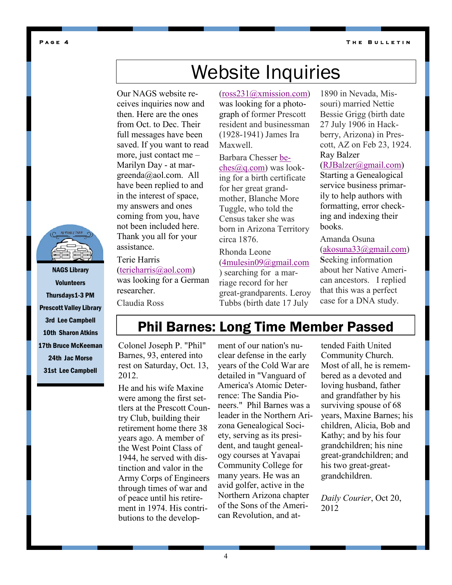**T h e B u l l e t i n** 

#### **P a g e 4**

# Website Inquiries

Our NAGS website receives inquiries now and then. Here are the ones from Oct. to Dec. Their full messages have been saved. If you want to read more, just contact me – Marilyn Day - at margreenda@aol.com. All have been replied to and in the interest of space, my answers and ones coming from you, have not been included here. Thank you all for your assistance.

Terie Harris [\(terieharris@aol.com\)](mailto:terieharris@aol.com) was looking for a German researcher.

Claudia Ross

([ross231@xmission.com\)](mailto:ross231@xmission.com)

was looking for a photograph of former Prescott resident and businessman (1928-1941) James Ira Maxwell.

Barbara Chesser [be](mailto:beches@q.com)[ches@q.com\)](mailto:beches@q.com) was looking for a birth certificate for her great grandmother, Blanche More Tuggle, who told the Census taker she was born in Arizona Territory circa 1876.

Rhonda Leone ([4mulesin09@gmail.com](mailto:4mulesin09@gmail.com) ) searching for a mar-

riage record for her great-grandparents. Leroy Tubbs (birth date 17 July

1890 in Nevada, Missouri) married Nettie Bessie Grigg (birth date 27 July 1906 in Hackberry, Arizona) in Prescott, AZ on Feb 23, 1924. Ray Balzer

([RJBalzer@gmail.com\)](mailto:RJBalzer@gmail.com)  Starting a Genealogical service business primarily to help authors with formatting, error checking and indexing their books.

Amanda Osuna ([akosuna33@gmail.com\)](mailto:akosuna33@gmail.com) **S**eeking information about her Native American ancestors. I replied that this was a perfect case for a DNA study.

NAGS Library **Volunteers** Thursdays1-3 PM Prescott Valley Library 3rd Lee Campbell 10th Sharon Atkins 17th Bruce McKeeman 24th Jac Morse 31st Lee Campbell

## Phil Barnes: Long Time Member Passed

Colonel Joseph P. "Phil" Barnes, 93, entered into rest on Saturday, Oct. 13, 2012.

He and his wife Maxine were among the first settlers at the Prescott Country Club, building their retirement home there 38 years ago. A member of the West Point Class of 1944, he served with distinction and valor in the Army Corps of Engineers through times of war and of peace until his retirement in 1974. His contributions to the develop-

ment of our nation's nuclear defense in the early years of the Cold War are detailed in "Vanguard of America's Atomic Deterrence: The Sandia Pioneers." Phil Barnes was a leader in the Northern Arizona Genealogical Society, serving as its president, and taught genealogy courses at Yavapai Community College for many years. He was an avid golfer, active in the Northern Arizona chapter of the Sons of the American Revolution, and attended Faith United Community Church. Most of all, he is remembered as a devoted and loving husband, father and grandfather by his surviving spouse of 68 years, Maxine Barnes; his children, Alicia, Bob and Kathy; and by his four grandchildren; his nine great-grandchildren; and his two great-greatgrandchildren.

*Daily Courier*, Oct 20, 2012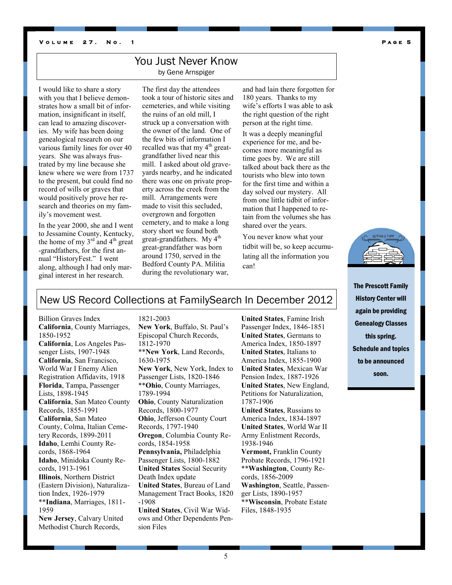#### **V** OLUME 27. NO. 1 **PAGE 5**

#### You Just Never Know

by Gene Arnspiger

I would like to share a story with you that I believe demonstrates how a small bit of information, insignificant in itself, can lead to amazing discoveries. My wife has been doing genealogical research on our various family lines for over 40 years. She was always frustrated by my line because she knew where we were from 1737 to the present, but could find no record of wills or graves that would positively prove her research and theories on my family's movement west.

In the year 2000, she and I went to Jessamine County, Kentucky, the home of my  $3<sup>rd</sup>$  and  $4<sup>th</sup>$  great -grandfathers, for the first annual "HistoryFest." I went along, although I had only marginal interest in her research.

The first day the attendees took a tour of historic sites and cemeteries, and while visiting the ruins of an old mill, I struck up a conversation with the owner of the land. One of the few bits of information I recalled was that my  $4<sup>th</sup>$  greatgrandfather lived near this mill. I asked about old graveyards nearby, and he indicated there was one on private property across the creek from the mill. Arrangements were made to visit this secluded, overgrown and forgotten cemetery, and to make a long story short we found both great-grandfathers. My  $4<sup>th</sup>$ great-grandfather was born around 1750, served in the Bedford County PA. Militia during the revolutionary war,

and had lain there forgotten for 180 years. Thanks to my wife's efforts I was able to ask the right question of the right person at the right time.

It was a deeply meaningful experience for me, and becomes more meaningful as time goes by. We are still talked about back there as the tourists who blew into town for the first time and within a day solved our mystery. All from one little tidbit of information that I happened to retain from the volumes she has shared over the years.

You never know what your tidbit will be, so keep accumulating all the information you can!



The Prescott Family History Center will again be providing Genealogy Classes this spring. Schedule and topics to be announced soon.

#### New US Record Collections at FamilySearch In December 2012

1821-2003

Billion Graves Index **California**, County Marriages, 1850-1952 **California**, Los Angeles Passenger Lists, 1907-1948 **California**, San Francisco, World War I Enemy Alien Registration Affidavits, 1918 **Florida**, Tampa, Passenger Lists, 1898-1945 **California**, San Mateo County Records, 1855-1991 **California**, San Mateo County, Colma, Italian Cemetery Records, 1899-2011 **Idaho**, Lemhi County Records, 1868-1964 **Idaho**, Minidoka County Records, 1913-1961 **Illinois**, Northern District (Eastern Division), Naturalization Index, 1926-1979 \*\***Indiana**, Marriages, 1811- 1959 **New Jersey**, Calvary United Methodist Church Records,

**New York**, Buffalo, St. Paul's Episcopal Church Records, 1812-1970 \*\***New York**, Land Records, 1630-1975 **New York**, New York, Index to Passenger Lists, 1820-1846 \*\***Ohio**, County Marriages, 1789-1994 **Ohio**, County Naturalization Records, 1800-1977 **Ohio**, Jefferson County Court Records, 1797-1940 **Oregon**, Columbia County Records, 1854-1958 **Pennsylvania,** Philadelphia Passenger Lists, 1800-1882 **United States** Social Security Death Index update **United States**, Bureau of Land Management Tract Books, 1820 -1908 **United States**, Civil War Widows and Other Dependents Pension Files

**United States**, Famine Irish Passenger Index, 1846-1851 **United States**, Germans to America Index, 1850-1897 **United States**, Italians to America Index, 1855-1900 **United States**, Mexican War Pension Index, 1887-1926 **United States**, New England, Petitions for Naturalization, 1787-1906 **United States**, Russians to America Index, 1834-1897 **United States**, World War II Army Enlistment Records, 1938-1946 **Vermont,** Franklin County Probate Records, 1796-1921 \*\***Washington**, County Records, 1856-2009 **Washington**, Seattle, Passenger Lists, 1890-1957 \*\***Wisconsin**, Probate Estate Files, 1848-1935